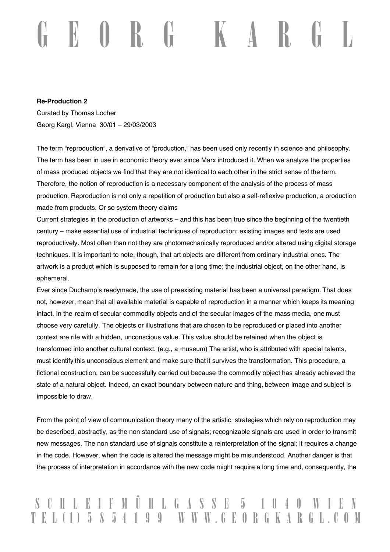## $\mathbf{U} \quad \mathbf{K}$

## **Re-Production 2**

Curated by Thomas Locher Georg Kargl, Vienna 30/01 – 29/03/2003

The term "reproduction", a derivative of "production," has been used only recently in science and philosophy. The term has been in use in economic theory ever since Marx introduced it. When we analyze the properties of mass produced objects we find that they are not identical to each other in the strict sense of the term. Therefore, the notion of reproduction is a necessary component of the analysis of the process of mass production. Reproduction is not only a repetition of production but also a self-reflexive production, a production made from products. Or so system theory claims

Current strategies in the production of artworks – and this has been true since the beginning of the twentieth century – make essential use of industrial techniques of reproduction; existing images and texts are used reproductively. Most often than not they are photomechanically reproduced and/or altered using digital storage techniques. It is important to note, though, that art objects are different from ordinary industrial ones. The artwork is a product which is supposed to remain for a long time; the industrial object, on the other hand, is ephemeral.

Ever since Duchamp's readymade, the use of preexisting material has been a universal paradigm. That does not, however, mean that all available material is capable of reproduction in a manner which keeps its meaning intact. In the realm of secular commodity objects and of the secular images of the mass media, one must choose very carefully. The objects or illustrations that are chosen to be reproduced or placed into another context are rife with a hidden, unconscious value. This value should be retained when the object is transformed into another cultural context. (e.g., a museum) The artist, who is attributed with special talents, must identify this unconscious element and make sure that it survives the transformation. This procedure, a fictional construction, can be successfully carried out because the commodity object has already achieved the state of a natural object. Indeed, an exact boundary between nature and thing, between image and subject is impossible to draw.

From the point of view of communication theory many of the artistic strategies which rely on reproduction may be described, abstractly, as the non standard use of signals; recognizable signals are used in order to transmit new messages. The non standard use of signals constitute a reinterpretation of the signal; it requires a change in the code. However, when the code is altered the message might be misunderstood. Another danger is that the process of interpretation in accordance with the new code might require a long time and, consequently, the

## C H L E I F M Ü H L G A S S E 5<br>E L (1) 5 8 5 4 1 9 9 W W W G E O B 9 9 W W W . G E O R G K A R G L . C O M